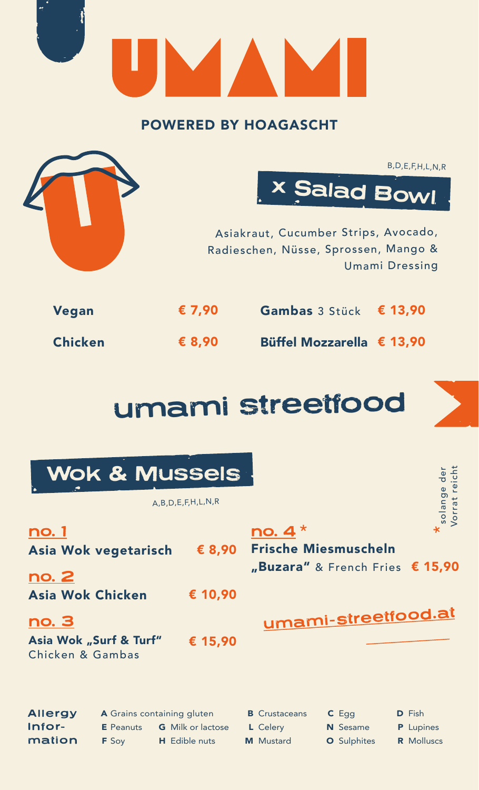|                | <b>POWERED BY HOAGASCHT</b> |                                                                                                     |                                                 |
|----------------|-----------------------------|-----------------------------------------------------------------------------------------------------|-------------------------------------------------|
|                |                             | <b>x Salad Bowl</b><br>Asiakraut, Cucumber Strips, Avocado,<br>Radieschen, Nüsse, Sprossen, Mango & | B, D, E, F, H, L, N, R<br><b>Umami Dressing</b> |
| Vegan          | € 7,90                      | Gambas 3 Stück                                                                                      | € 13,90                                         |
| <b>Chicken</b> | $\epsilon$ 8,90             | Büffel Mozzarella € 13,90                                                                           |                                                 |

## umami streetfood

|                                                                          |                                                                | <b>Wok &amp; Mussels</b><br>A,B,D,E,F,H,L,N,R    |                                                      |                                                                         | Vorrat reich<br>$\overline{d}$<br>solange              |
|--------------------------------------------------------------------------|----------------------------------------------------------------|--------------------------------------------------|------------------------------------------------------|-------------------------------------------------------------------------|--------------------------------------------------------|
| <u>no. 1</u><br>Asia Wok vegetarisch<br><u>no. 2</u><br>Asia Wok Chicken |                                                                | € 8,90<br>€ 10,90                                | no. 4                                                | <b>Frische Miesmuscheln</b><br>"Buzara" & French Fries $\epsilon$ 15,90 |                                                        |
| no. 3<br>Asia Wok "Surf & Turf"<br>Chicken & Gambas                      |                                                                | € 15,90                                          |                                                      | umami-streetfood.at                                                     |                                                        |
| <b>Allergy</b><br>Infor-<br>mation                                       | A Grains containing gluten<br><b>E</b> Peanuts<br><b>F</b> Soy | <b>G</b> Milk or lactose<br><b>H</b> Edible nuts | <b>B</b> Crustaceans<br>L Celery<br><b>M</b> Mustard | $C$ Egg<br>N Sesame<br><b>O</b> Sulphites                               | <b>D</b> Fish<br><b>P</b> Lupines<br><b>R</b> Molluscs |